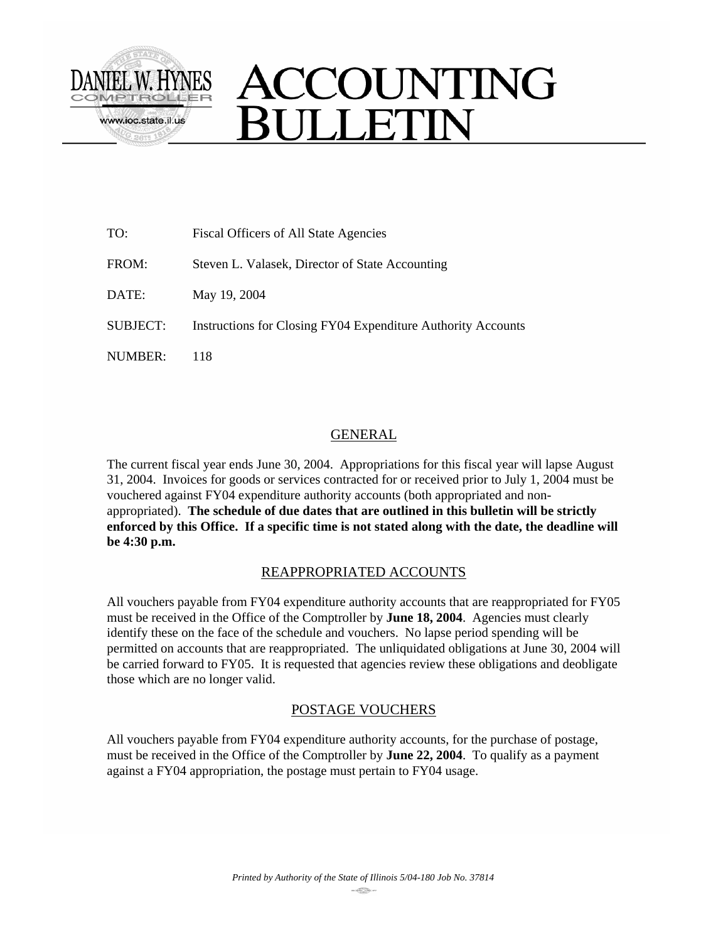

| TO:             | Fiscal Officers of All State Agencies                        |
|-----------------|--------------------------------------------------------------|
| FROM:           | Steven L. Valasek, Director of State Accounting              |
| DATE:           | May 19, 2004                                                 |
| <b>SUBJECT:</b> | Instructions for Closing FY04 Expenditure Authority Accounts |
| NUMBER:         | 118                                                          |

## GENERAL

The current fiscal year ends June 30, 2004. Appropriations for this fiscal year will lapse August 31, 2004. Invoices for goods or services contracted for or received prior to July 1, 2004 must be vouchered against FY04 expenditure authority accounts (both appropriated and nonappropriated). **The schedule of due dates that are outlined in this bulletin will be strictly enforced by this Office. If a specific time is not stated along with the date, the deadline will be 4:30 p.m.**

## REAPPROPRIATED ACCOUNTS

All vouchers payable from FY04 expenditure authority accounts that are reappropriated for FY05 must be received in the Office of the Comptroller by **June 18, 2004**. Agencies must clearly identify these on the face of the schedule and vouchers. No lapse period spending will be permitted on accounts that are reappropriated. The unliquidated obligations at June 30, 2004 will be carried forward to FY05. It is requested that agencies review these obligations and deobligate those which are no longer valid.

## POSTAGE VOUCHERS

All vouchers payable from FY04 expenditure authority accounts, for the purchase of postage, must be received in the Office of the Comptroller by **June 22, 2004**. To qualify as a payment against a FY04 appropriation, the postage must pertain to FY04 usage.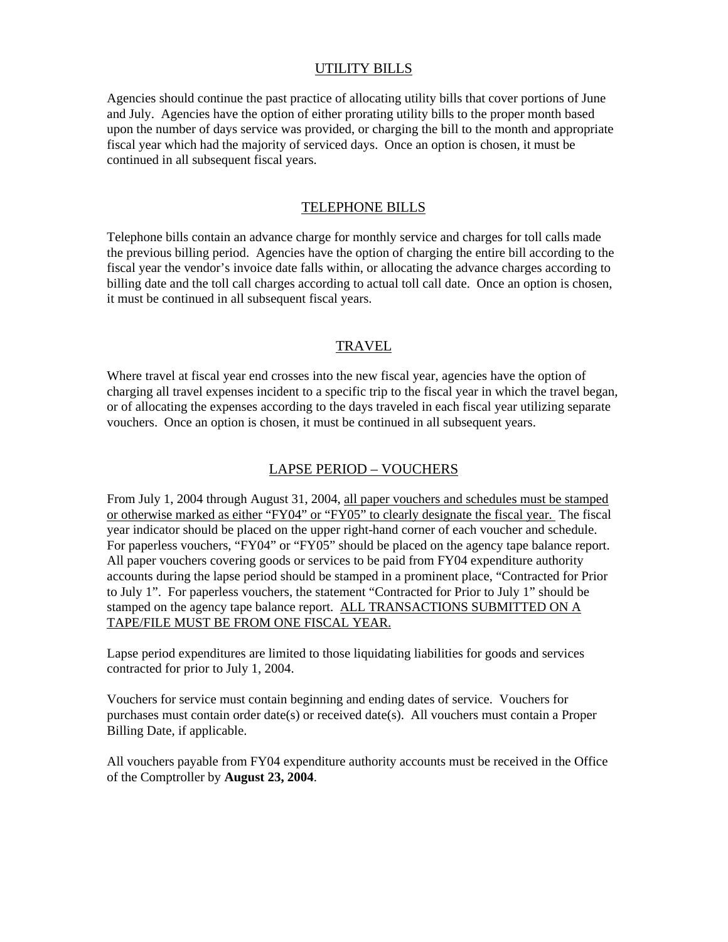## UTILITY BILLS

Agencies should continue the past practice of allocating utility bills that cover portions of June and July. Agencies have the option of either prorating utility bills to the proper month based upon the number of days service was provided, or charging the bill to the month and appropriate fiscal year which had the majority of serviced days. Once an option is chosen, it must be continued in all subsequent fiscal years.

### TELEPHONE BILLS

Telephone bills contain an advance charge for monthly service and charges for toll calls made the previous billing period. Agencies have the option of charging the entire bill according to the fiscal year the vendor's invoice date falls within, or allocating the advance charges according to billing date and the toll call charges according to actual toll call date. Once an option is chosen, it must be continued in all subsequent fiscal years.

### **TRAVEL**

Where travel at fiscal year end crosses into the new fiscal year, agencies have the option of charging all travel expenses incident to a specific trip to the fiscal year in which the travel began, or of allocating the expenses according to the days traveled in each fiscal year utilizing separate vouchers. Once an option is chosen, it must be continued in all subsequent years.

### LAPSE PERIOD – VOUCHERS

From July 1, 2004 through August 31, 2004, all paper vouchers and schedules must be stamped or otherwise marked as either "FY04" or "FY05" to clearly designate the fiscal year. The fiscal year indicator should be placed on the upper right-hand corner of each voucher and schedule. For paperless vouchers, "FY04" or "FY05" should be placed on the agency tape balance report. All paper vouchers covering goods or services to be paid from FY04 expenditure authority accounts during the lapse period should be stamped in a prominent place, "Contracted for Prior to July 1". For paperless vouchers, the statement "Contracted for Prior to July 1" should be stamped on the agency tape balance report. ALL TRANSACTIONS SUBMITTED ON A TAPE/FILE MUST BE FROM ONE FISCAL YEAR.

Lapse period expenditures are limited to those liquidating liabilities for goods and services contracted for prior to July 1, 2004.

Vouchers for service must contain beginning and ending dates of service. Vouchers for purchases must contain order date(s) or received date(s). All vouchers must contain a Proper Billing Date, if applicable.

All vouchers payable from FY04 expenditure authority accounts must be received in the Office of the Comptroller by **August 23, 2004**.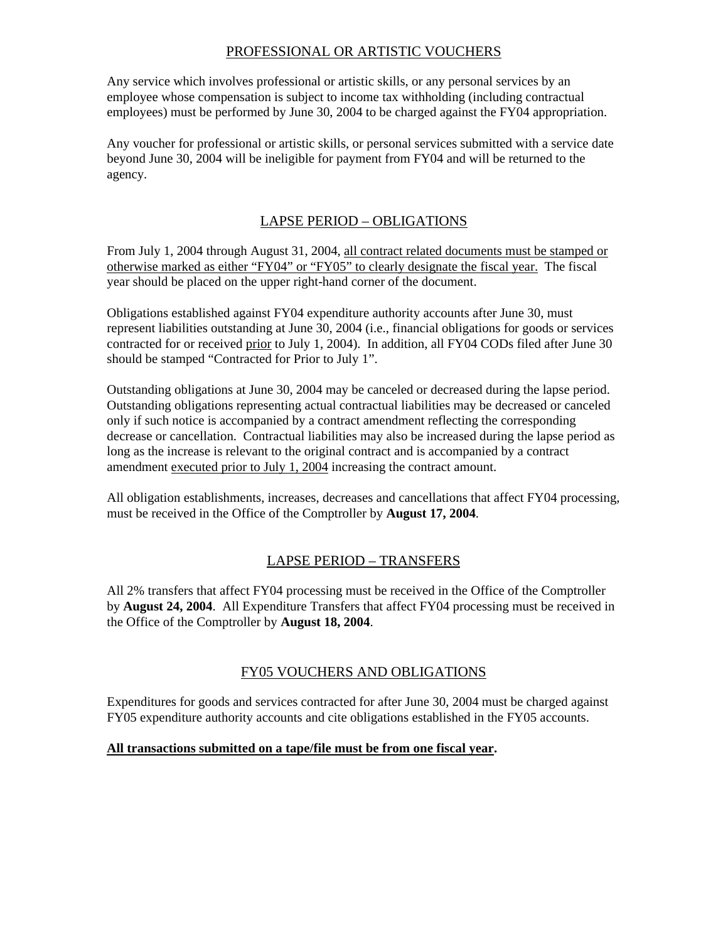## PROFESSIONAL OR ARTISTIC VOUCHERS

Any service which involves professional or artistic skills, or any personal services by an employee whose compensation is subject to income tax withholding (including contractual employees) must be performed by June 30, 2004 to be charged against the FY04 appropriation.

Any voucher for professional or artistic skills, or personal services submitted with a service date beyond June 30, 2004 will be ineligible for payment from FY04 and will be returned to the agency.

## LAPSE PERIOD – OBLIGATIONS

From July 1, 2004 through August 31, 2004, all contract related documents must be stamped or otherwise marked as either "FY04" or "FY05" to clearly designate the fiscal year. The fiscal year should be placed on the upper right-hand corner of the document.

Obligations established against FY04 expenditure authority accounts after June 30, must represent liabilities outstanding at June 30, 2004 (i.e., financial obligations for goods or services contracted for or received prior to July 1, 2004). In addition, all FY04 CODs filed after June 30 should be stamped "Contracted for Prior to July 1".

Outstanding obligations at June 30, 2004 may be canceled or decreased during the lapse period. Outstanding obligations representing actual contractual liabilities may be decreased or canceled only if such notice is accompanied by a contract amendment reflecting the corresponding decrease or cancellation. Contractual liabilities may also be increased during the lapse period as long as the increase is relevant to the original contract and is accompanied by a contract amendment executed prior to July 1, 2004 increasing the contract amount.

All obligation establishments, increases, decreases and cancellations that affect FY04 processing, must be received in the Office of the Comptroller by **August 17, 2004**.

# LAPSE PERIOD – TRANSFERS

All 2% transfers that affect FY04 processing must be received in the Office of the Comptroller by **August 24, 2004**. All Expenditure Transfers that affect FY04 processing must be received in the Office of the Comptroller by **August 18, 2004**.

## FY05 VOUCHERS AND OBLIGATIONS

Expenditures for goods and services contracted for after June 30, 2004 must be charged against FY05 expenditure authority accounts and cite obligations established in the FY05 accounts.

### **All transactions submitted on a tape/file must be from one fiscal year.**